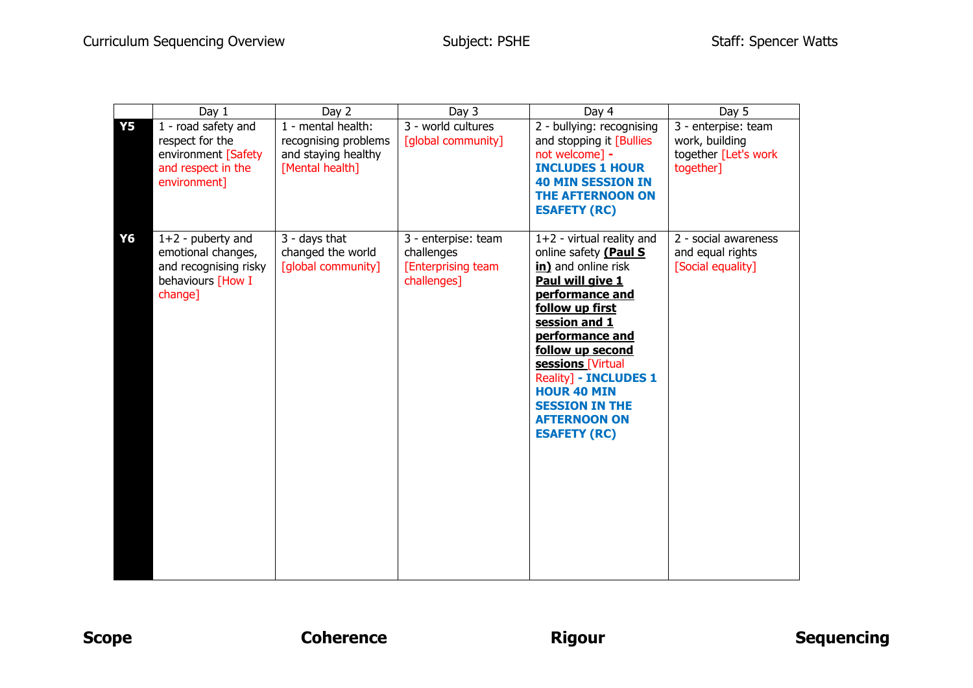|           | Day $1$                                                                                             | Day 2                                                                                | Day 3                                                                  | Day 4                                                                                                                                                                                                                                                                                                                                           | Day 5                                                                      |
|-----------|-----------------------------------------------------------------------------------------------------|--------------------------------------------------------------------------------------|------------------------------------------------------------------------|-------------------------------------------------------------------------------------------------------------------------------------------------------------------------------------------------------------------------------------------------------------------------------------------------------------------------------------------------|----------------------------------------------------------------------------|
| <b>Y5</b> | 1 - road safety and<br>respect for the<br>environment [Safety<br>and respect in the<br>environment] | 1 - mental health:<br>recognising problems<br>and staying healthy<br>[Mental health] | 3 - world cultures<br>[global community]                               | 2 - bullying: recognising<br>and stopping it [Bullies]<br>not welcome] -<br><b>INCLUDES 1 HOUR</b><br><b>40 MIN SESSION IN</b><br><b>THE AFTERNOON ON</b><br><b>ESAFETY (RC)</b>                                                                                                                                                                | 3 - enterpise: team<br>work, building<br>together [Let's work<br>together] |
| Y6        | $1+2$ - puberty and<br>emotional changes,<br>and recognising risky<br>behaviours [How I<br>change]  | 3 - days that<br>changed the world<br>[global community]                             | 3 - enterpise: team<br>challenges<br>[Enterprising team<br>challenges] | $1+2$ - virtual reality and<br>online safety (Paul S<br>in) and online risk<br>Paul will give 1<br>performance and<br>follow up first<br>session and 1<br>performance and<br>follow up second<br>sessions [Virtual<br>Reality] - <b>INCLUDES 1</b><br><b>HOUR 40 MIN</b><br><b>SESSION IN THE</b><br><b>AFTERNOON ON</b><br><b>ESAFETY (RC)</b> | 2 - social awareness<br>and equal rights<br>[Social equality]              |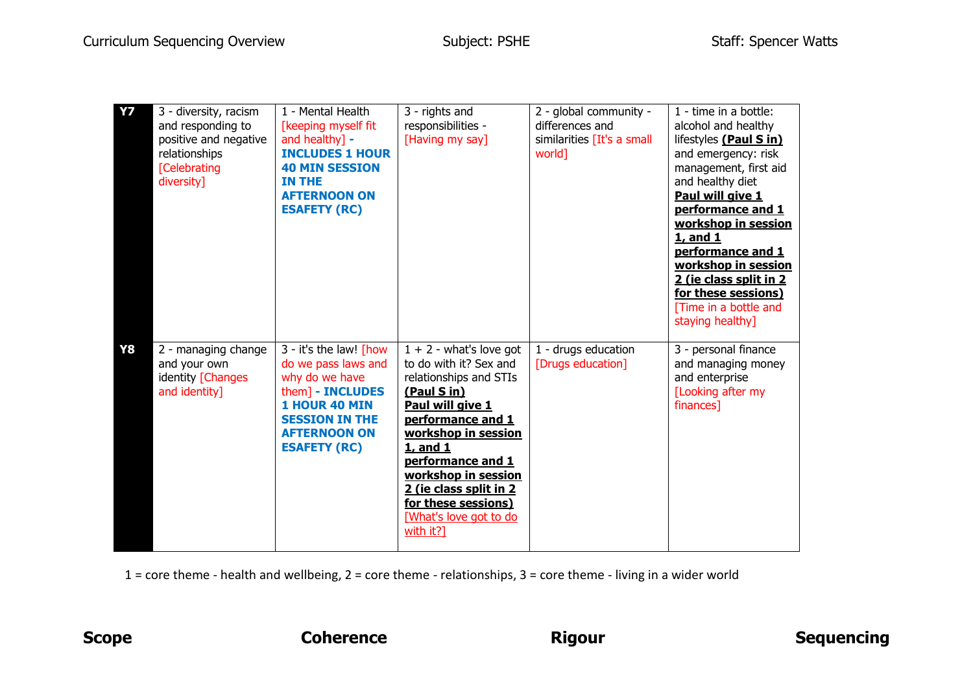| <b>Y7</b> | 3 - diversity, racism<br>and responding to<br>positive and negative<br>relationships<br><b>[Celebrating</b><br>diversity] | 1 - Mental Health<br>[keeping myself fit<br>and healthy] -<br><b>INCLUDES 1 HOUR</b><br><b>40 MIN SESSION</b><br>IN THE<br><b>AFTERNOON ON</b><br><b>ESAFETY (RC)</b>              | 3 - rights and<br>responsibilities -<br>[Having my say]                                                                                                                                                                                                                                                      | 2 - global community -<br>differences and<br>similarities [It's a small<br>world] | 1 - time in a bottle:<br>alcohol and healthy<br>lifestyles (Paul S in)<br>and emergency: risk<br>management, first aid<br>and healthy diet<br>Paul will give 1<br>performance and 1<br>workshop in session<br>1, and 1<br>performance and 1<br>workshop in session<br>2 (ie class split in 2<br>for these sessions)<br>[Time in a bottle and<br>staying healthy] |
|-----------|---------------------------------------------------------------------------------------------------------------------------|------------------------------------------------------------------------------------------------------------------------------------------------------------------------------------|--------------------------------------------------------------------------------------------------------------------------------------------------------------------------------------------------------------------------------------------------------------------------------------------------------------|-----------------------------------------------------------------------------------|------------------------------------------------------------------------------------------------------------------------------------------------------------------------------------------------------------------------------------------------------------------------------------------------------------------------------------------------------------------|
| <b>Y8</b> | 2 - managing change<br>and your own<br>identity [Changes<br>and identity]                                                 | 3 - it's the law! [how<br>do we pass laws and<br>why do we have<br>them] - INCLUDES<br><b>1 HOUR 40 MIN</b><br><b>SESSION IN THE</b><br><b>AFTERNOON ON</b><br><b>ESAFETY (RC)</b> | $1 + 2$ - what's love got<br>to do with it? Sex and<br>relationships and STIs<br>(Paul S in)<br>Paul will give 1<br>performance and 1<br>workshop in session<br>1, and 1<br>performance and 1<br>workshop in session<br>2 (ie class split in 2<br>for these sessions)<br>[What's love got to do<br>with it?] | 1 - drugs education<br>[Drugs education]                                          | 3 - personal finance<br>and managing money<br>and enterprise<br>[Looking after my<br>finances]                                                                                                                                                                                                                                                                   |

1 = core theme - health and wellbeing, 2 = core theme - relationships, 3 = core theme - living in a wider world